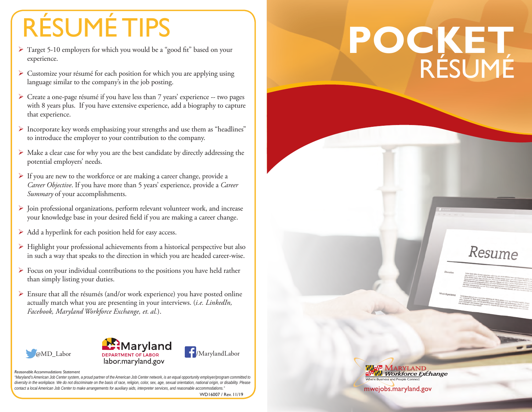## RÉSUMÉ TIPS

- ¾ Target 5-10 employers for which you would be a "good fit" based on your experience.
- $\triangleright$  Customize your résumé for each position for which you are applying using language similar to the company's in the job posting.
- ¾ Create a one-page résumé if you have less than 7 years' experience -- two pages with 8 years plus. If you have extensive experience, add a biography to capture that experience.
- ¾ Incorporate key words emphasizing your strengths and use them as "headlines" to introduce the employer to your contribution to the company.
- ¾ Make a clear case for why you are the best candidate by directly addressing the potential employers' needs.
- $\triangleright$  If you are new to the workforce or are making a career change, provide a *Career Objective*. If you have more than 5 years' experience, provide a *Career Summary* of your accomplishments.
- ¾ Join professional organizations, perform relevant volunteer work, and increase your knowledge base in your desired field if you are making a career change.
- $\triangleright$  Add a hyperlink for each position held for easy access.
- $\triangleright$  Highlight your professional achievements from a historical perspective but also in such a way that speaks to the direction in which you are headed career-wise.
- $\triangleright$  Focus on your individual contributions to the positions you have held rather than simply listing your duties.
- $\triangleright$  Ensure that all the résumés (and/or work experience) you have posted online actually match what you are presenting in your interviews. (*i.e. LinkedIn, Facebook, Maryland Workforce Exchange, et. al.*).







## *Reasonable Accommodations Statement*

*"Maryland's American Job Center system, a proud partner of the American Job Center network, is an equal opportunity employer/program committed to diversity in the workplace. We do not discriminate on the basis of race, religion, color, sex, age, sexual orientation, national origin, or disability. Please contact a local American Job Center to make arrangements for auxiliary aids, interpreter services, and reasonable accommodations."*

WD16007 / Rev. 11/19

## **POCKET** RÉSUMÉ

Resume

mwejobs.maryland.gov

**MARYLAND Workforce Exchange**